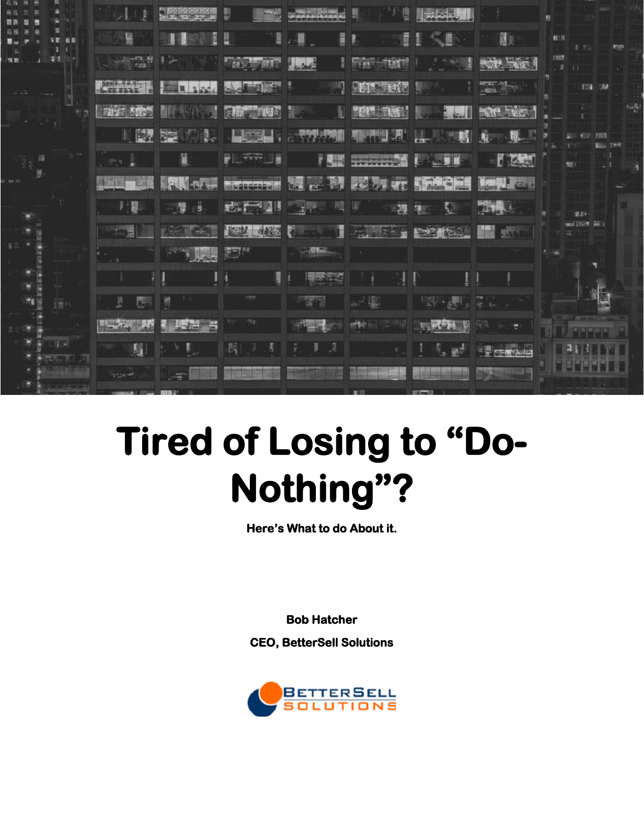

# **Tired of Losing to "Do-Nothing"?**

**Here's What to do About it.** 

**Bob Hatcher** 

**CEO, BetterSell Solutions** 

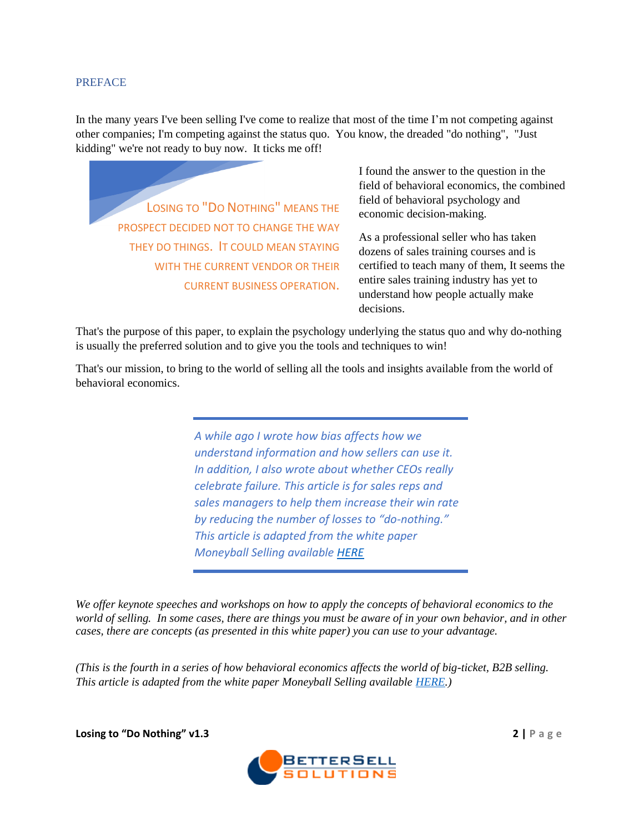#### PREFACE

In the many years I've been selling I've come to realize that most of the time I'm not competing against other companies; I'm competing against the status quo. You know, the dreaded "do nothing", "Just kidding" we're not ready to buy now. It ticks me off!

LOSING TO "DO NOTHING" MEANS THE PROSPECT DECIDED NOT TO CHANGE THE WAY THEY DO THINGS. IT COULD MEAN STAYING WITH THE CURRENT VENDOR OR THEIR CURRENT BUSINESS OPERATION.

I found the answer to the question in the field of behavioral economics, the combined field of behavioral psychology and economic decision-making.

As a professional seller who has taken dozens of sales training courses and is certified to teach many of them, It seems the entire sales training industry has yet to understand how people actually make decisions.

That's the purpose of this paper, to explain the psychology underlying the status quo and why do-nothing is usually the preferred solution and to give you the tools and techniques to win!

That's our mission, to bring to the world of selling all the tools and insights available from the world of behavioral economics.

> *A while ago I wrote how bias affects how we understand information and how sellers can use it. In addition, I also wrote about whether CEOs really celebrate failure. This article is for sales reps and sales managers to help them increase their win rate by reducing the number of losses to "do-nothing." This article is adapted from the white paper Moneyball Selling available [HERE](http://www.bettersellsolutions.com/resources/)*

*We offer keynote speeches and workshops on how to apply the concepts of behavioral economics to the world of selling. In some cases, there are things you must be aware of in your own behavior, and in other cases, there are concepts (as presented in this white paper) you can use to your advantage.*

*(This is the fourth in a series of how behavioral economics affects the world of big-ticket, B2B selling. This article is adapted from the white paper Moneyball Selling available [HERE.](https://www.bettersellsolutions.com/resources/))*

**Losing to "Do Nothing" v1.3 2 | P a g e**

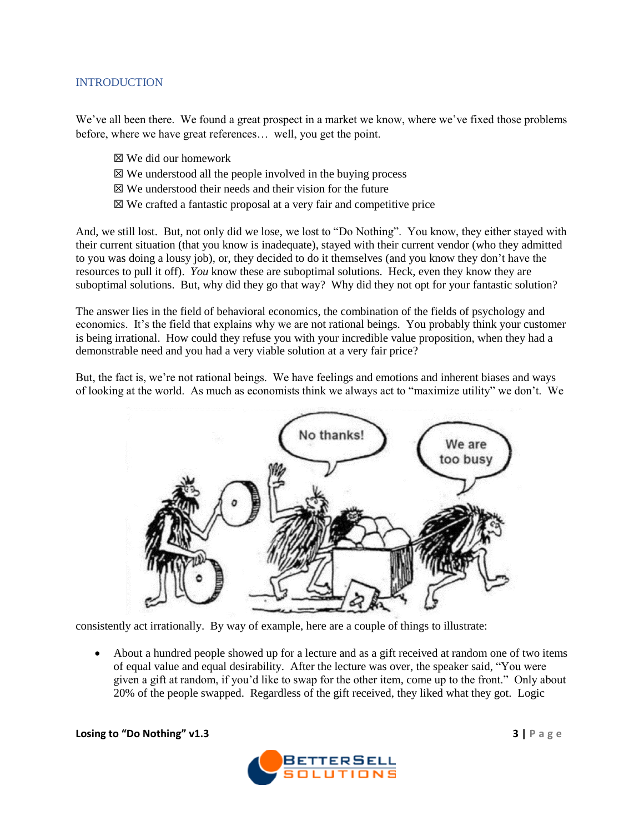#### **INTRODUCTION**

We've all been there. We found a great prospect in a market we know, where we've fixed those problems before, where we have great references… well, you get the point.

- ☒ We did our homework
- $\boxtimes$  We understood all the people involved in the buying process
- $\boxtimes$  We understood their needs and their vision for the future
- ☒ We crafted a fantastic proposal at a very fair and competitive price

And, we still lost. But, not only did we lose, we lost to "Do Nothing". You know, they either stayed with their current situation (that you know is inadequate), stayed with their current vendor (who they admitted to you was doing a lousy job), or, they decided to do it themselves (and you know they don't have the resources to pull it off). *You* know these are suboptimal solutions. Heck, even they know they are suboptimal solutions. But, why did they go that way? Why did they not opt for your fantastic solution?

The answer lies in the field of behavioral economics, the combination of the fields of psychology and economics. It's the field that explains why we are not rational beings. You probably think your customer is being irrational. How could they refuse you with your incredible value proposition, when they had a demonstrable need and you had a very viable solution at a very fair price?

But, the fact is, we're not rational beings. We have feelings and emotions and inherent biases and ways of looking at the world. As much as economists think we always act to "maximize utility" we don't. We



consistently act irrationally. By way of example, here are a couple of things to illustrate:

• About a hundred people showed up for a lecture and as a gift received at random one of two items of equal value and equal desirability. After the lecture was over, the speaker said, "You were given a gift at random, if you'd like to swap for the other item, come up to the front." Only about 20% of the people swapped. Regardless of the gift received, they liked what they got. Logic

**Losing to "Do Nothing" v1.3 3 | P a g e**

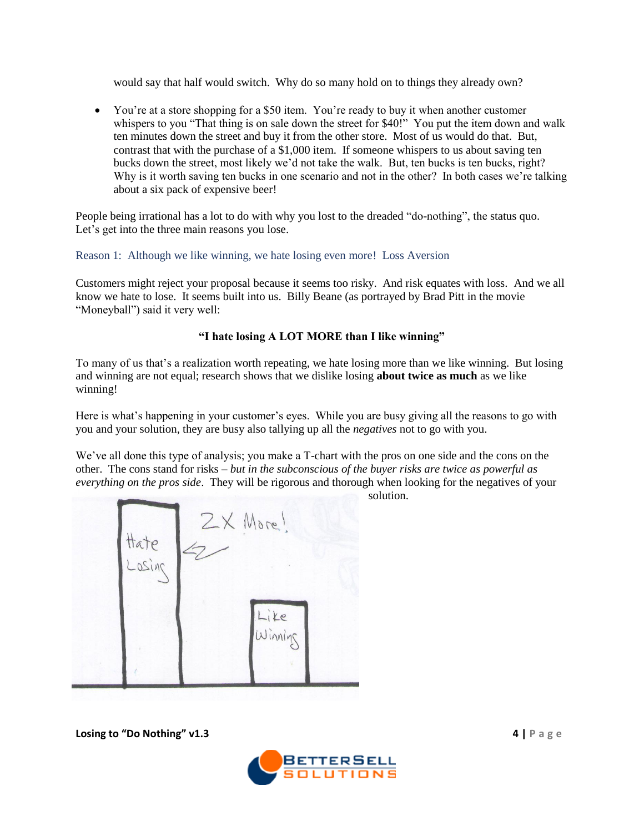would say that half would switch. Why do so many hold on to things they already own?

• You're at a store shopping for a \$50 item. You're ready to buy it when another customer whispers to you "That thing is on sale down the street for \$40!" You put the item down and walk ten minutes down the street and buy it from the other store. Most of us would do that. But, contrast that with the purchase of a \$1,000 item. If someone whispers to us about saving ten bucks down the street, most likely we'd not take the walk. But, ten bucks is ten bucks, right? Why is it worth saving ten bucks in one scenario and not in the other? In both cases we're talking about a six pack of expensive beer!

People being irrational has a lot to do with why you lost to the dreaded "do-nothing", the status quo. Let's get into the three main reasons you lose.

#### Reason 1: Although we like winning, we hate losing even more! Loss Aversion

Customers might reject your proposal because it seems too risky. And risk equates with loss. And we all know we hate to lose. It seems built into us. Billy Beane (as portrayed by Brad Pitt in the movie "Moneyball") said it very well:

#### **"I hate losing A LOT MORE than I like winning"**

To many of us that's a realization worth repeating, we hate losing more than we like winning. But losing and winning are not equal; research shows that we dislike losing **about twice as much** as we like winning!

Here is what's happening in your customer's eyes. While you are busy giving all the reasons to go with you and your solution, they are busy also tallying up all the *negatives* not to go with you.

We've all done this type of analysis; you make a T-chart with the pros on one side and the cons on the other. The cons stand for risks – *but in the subconscious of the buyer risks are twice as powerful as everything on the pros side*. They will be rigorous and thorough when looking for the negatives of your solution.



**Losing to "Do Nothing" v1.3 4 | P a g e**

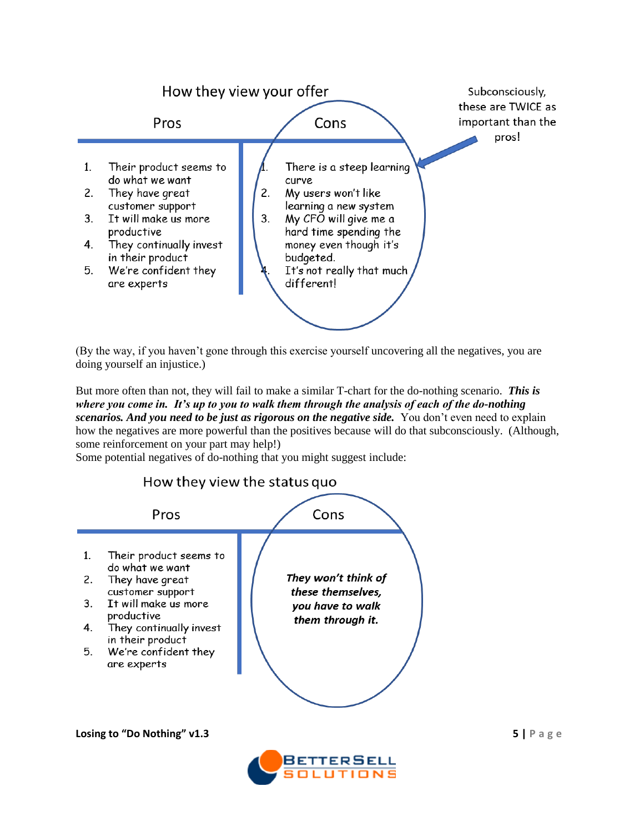

(By the way, if you haven't gone through this exercise yourself uncovering all the negatives, you are doing yourself an injustice.)

But more often than not, they will fail to make a similar T-chart for the do-nothing scenario. *This is where you come in. It's up to you to walk them through the analysis of each of the do-nothing scenarios. And you need to be just as rigorous on the negative side.* You don't even need to explain how the negatives are more powerful than the positives because will do that subconsciously. (Although, some reinforcement on your part may help!)

Some potential negatives of do-nothing that you might suggest include:



**Losing to "Do Nothing" v1.3 5 | P a g e**

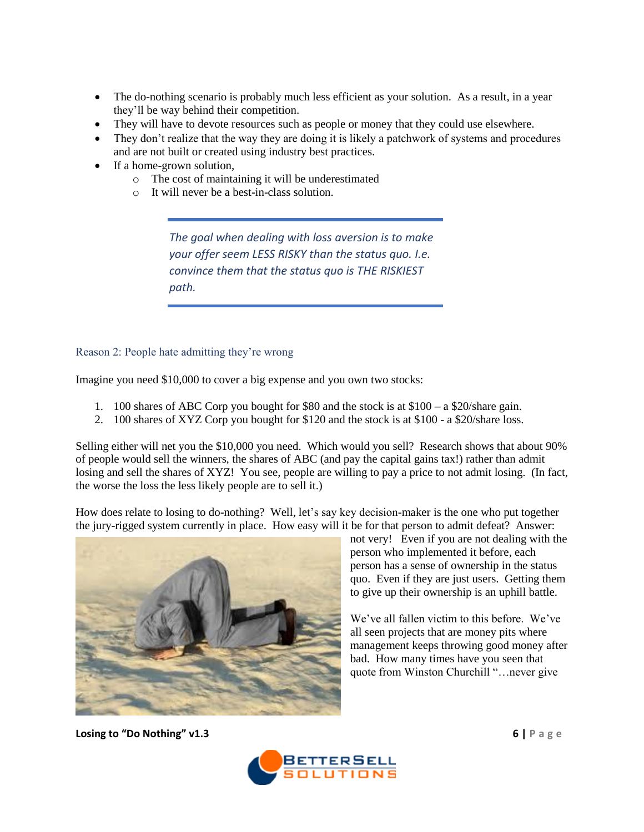- The do-nothing scenario is probably much less efficient as your solution. As a result, in a year they'll be way behind their competition.
- They will have to devote resources such as people or money that they could use elsewhere.
- They don't realize that the way they are doing it is likely a patchwork of systems and procedures and are not built or created using industry best practices.
- If a home-grown solution,
	- o The cost of maintaining it will be underestimated
	- o It will never be a best-in-class solution.

*The goal when dealing with loss aversion is to make your offer seem LESS RISKY than the status quo. I.e. convince them that the status quo is THE RISKIEST path.*

### Reason 2: People hate admitting they're wrong

Imagine you need \$10,000 to cover a big expense and you own two stocks:

- 1. 100 shares of ABC Corp you bought for \$80 and the stock is at \$100 a \$20/share gain.
- 2. 100 shares of XYZ Corp you bought for \$120 and the stock is at \$100 a \$20/share loss.

Selling either will net you the \$10,000 you need. Which would you sell? Research shows that about 90% of people would sell the winners, the shares of ABC (and pay the capital gains tax!) rather than admit losing and sell the shares of XYZ! You see, people are willing to pay a price to not admit losing. (In fact, the worse the loss the less likely people are to sell it.)

How does relate to losing to do-nothing? Well, let's say key decision-maker is the one who put together the jury-rigged system currently in place. How easy will it be for that person to admit defeat? Answer:



not very! Even if you are not dealing with the person who implemented it before, each person has a sense of ownership in the status quo. Even if they are just users. Getting them to give up their ownership is an uphill battle.

We've all fallen victim to this before. We've all seen projects that are money pits where management keeps throwing good money after bad. How many times have you seen that quote from Winston Churchill "…never give

**Losing to "Do Nothing" v1.3 6 | P a g e**

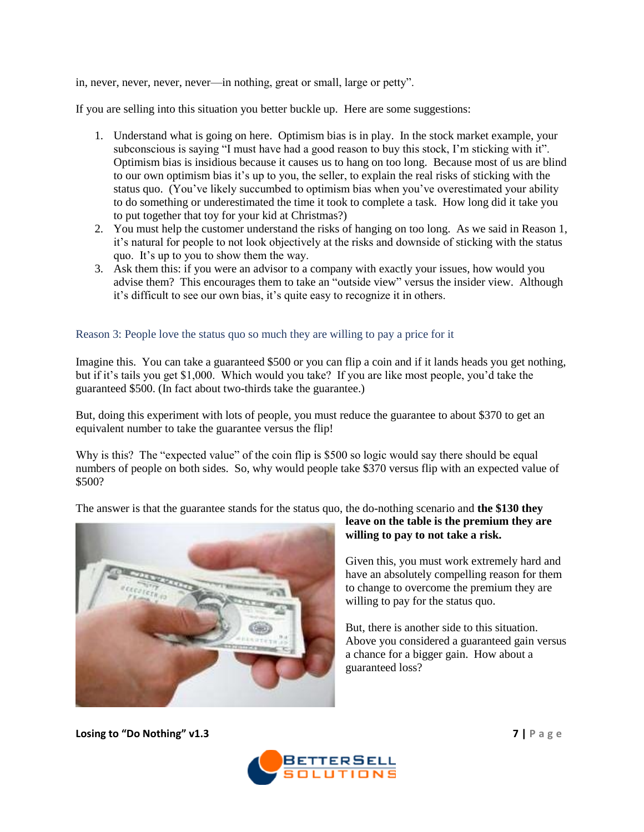in, never, never, never, never—in nothing, great or small, large or petty".

If you are selling into this situation you better buckle up. Here are some suggestions:

- 1. Understand what is going on here. Optimism bias is in play. In the stock market example, your subconscious is saying "I must have had a good reason to buy this stock, I'm sticking with it". Optimism bias is insidious because it causes us to hang on too long. Because most of us are blind to our own optimism bias it's up to you, the seller, to explain the real risks of sticking with the status quo. (You've likely succumbed to optimism bias when you've overestimated your ability to do something or underestimated the time it took to complete a task. How long did it take you to put together that toy for your kid at Christmas?)
- 2. You must help the customer understand the risks of hanging on too long. As we said in Reason 1, it's natural for people to not look objectively at the risks and downside of sticking with the status quo. It's up to you to show them the way.
- 3. Ask them this: if you were an advisor to a company with exactly your issues, how would you advise them? This encourages them to take an "outside view" versus the insider view. Although it's difficult to see our own bias, it's quite easy to recognize it in others.

#### Reason 3: People love the status quo so much they are willing to pay a price for it

Imagine this. You can take a guaranteed \$500 or you can flip a coin and if it lands heads you get nothing, but if it's tails you get \$1,000. Which would you take? If you are like most people, you'd take the guaranteed \$500. (In fact about two-thirds take the guarantee.)

But, doing this experiment with lots of people, you must reduce the guarantee to about \$370 to get an equivalent number to take the guarantee versus the flip!

Why is this? The "expected value" of the coin flip is \$500 so logic would say there should be equal numbers of people on both sides. So, why would people take \$370 versus flip with an expected value of \$500?

The answer is that the guarantee stands for the status quo, the do-nothing scenario and **the \$130 they** 



## **leave on the table is the premium they are willing to pay to not take a risk.**

Given this, you must work extremely hard and have an absolutely compelling reason for them to change to overcome the premium they are willing to pay for the status quo.

But, there is another side to this situation. Above you considered a guaranteed gain versus a chance for a bigger gain. How about a guaranteed loss?

**Losing to "Do Nothing" v1.3 7 | P a g e**

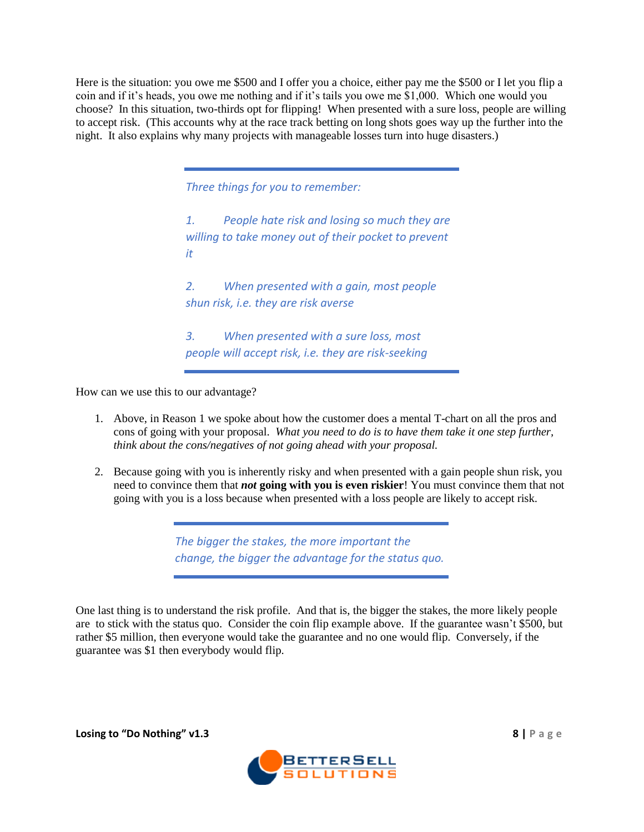Here is the situation: you owe me \$500 and I offer you a choice, either pay me the \$500 or I let you flip a coin and if it's heads, you owe me nothing and if it's tails you owe me \$1,000. Which one would you choose? In this situation, two-thirds opt for flipping! When presented with a sure loss, people are willing to accept risk. (This accounts why at the race track betting on long shots goes way up the further into the night. It also explains why many projects with manageable losses turn into huge disasters.)

*Three things for you to remember:*

*1. People hate risk and losing so much they are willing to take money out of their pocket to prevent it*

*2. When presented with a gain, most people shun risk, i.e. they are risk averse*

*3. When presented with a sure loss, most people will accept risk, i.e. they are risk-seeking*

How can we use this to our advantage?

- 1. Above, in Reason 1 we spoke about how the customer does a mental T-chart on all the pros and cons of going with your proposal. *What you need to do is to have them take it one step further, think about the cons/negatives of not going ahead with your proposal.*
- 2. Because going with you is inherently risky and when presented with a gain people shun risk, you need to convince them that *not* **going with you is even riskier**! You must convince them that not going with you is a loss because when presented with a loss people are likely to accept risk.

*The bigger the stakes, the more important the change, the bigger the advantage for the status quo.*

One last thing is to understand the risk profile. And that is, the bigger the stakes, the more likely people are to stick with the status quo. Consider the coin flip example above. If the guarantee wasn't \$500, but rather \$5 million, then everyone would take the guarantee and no one would flip. Conversely, if the guarantee was \$1 then everybody would flip.

**Losing to "Do Nothing" v1.3 8 | P a g e**

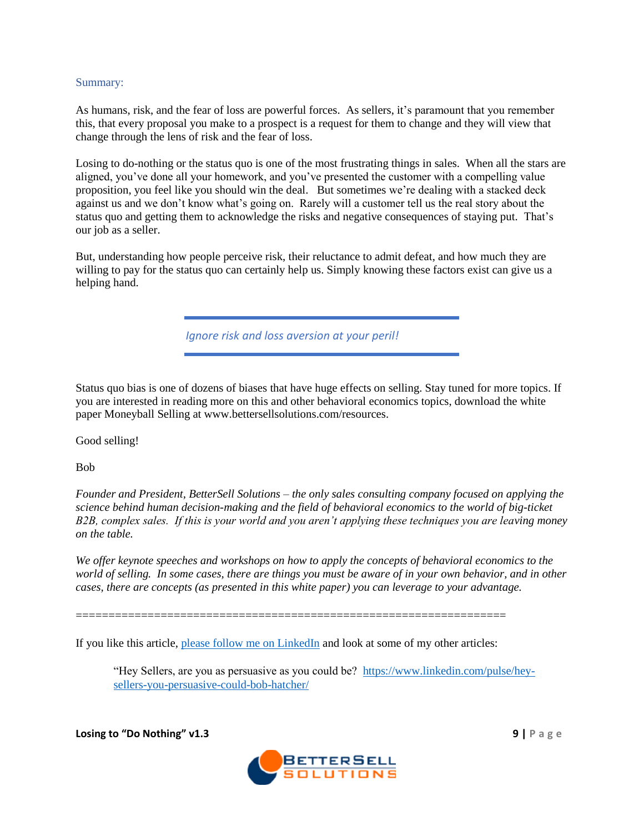#### Summary:

As humans, risk, and the fear of loss are powerful forces. As sellers, it's paramount that you remember this, that every proposal you make to a prospect is a request for them to change and they will view that change through the lens of risk and the fear of loss.

Losing to do-nothing or the status quo is one of the most frustrating things in sales. When all the stars are aligned, you've done all your homework, and you've presented the customer with a compelling value proposition, you feel like you should win the deal. But sometimes we're dealing with a stacked deck against us and we don't know what's going on. Rarely will a customer tell us the real story about the status quo and getting them to acknowledge the risks and negative consequences of staying put. That's our job as a seller.

But, understanding how people perceive risk, their reluctance to admit defeat, and how much they are willing to pay for the status quo can certainly help us. Simply knowing these factors exist can give us a helping hand.

*Ignore risk and loss aversion at your peril!*

Status quo bias is one of dozens of biases that have huge effects on selling. Stay tuned for more topics. If you are interested in reading more on this and other behavioral economics topics, download the white paper Moneyball Selling at www.bettersellsolutions.com/resources.

Good selling!

Bob

*Founder and President, BetterSell Solutions – the only sales consulting company focused on applying the science behind human decision-making and the field of behavioral economics to the world of big-ticket B2B, complex sales. If this is your world and you aren't applying these techniques you are leaving money on the table.*

*We offer keynote speeches and workshops on how to apply the concepts of behavioral economics to the world of selling. In some cases, there are things you must be aware of in your own behavior, and in other cases, there are concepts (as presented in this white paper) you can leverage to your advantage.*

If you like this article, [please follow me on LinkedIn](https://www.linkedin.com/in/thebobhatcher/) and look at some of my other articles:

==================================================================

"Hey Sellers, are you as persuasive as you could be? [https://www.linkedin.com/pulse/hey](https://www.linkedin.com/pulse/hey-sellers-you-persuasive-could-bob-hatcher/)[sellers-you-persuasive-could-bob-hatcher/](https://www.linkedin.com/pulse/hey-sellers-you-persuasive-could-bob-hatcher/)

**Losing to "Do Nothing" v1.3 9 | P a g e**